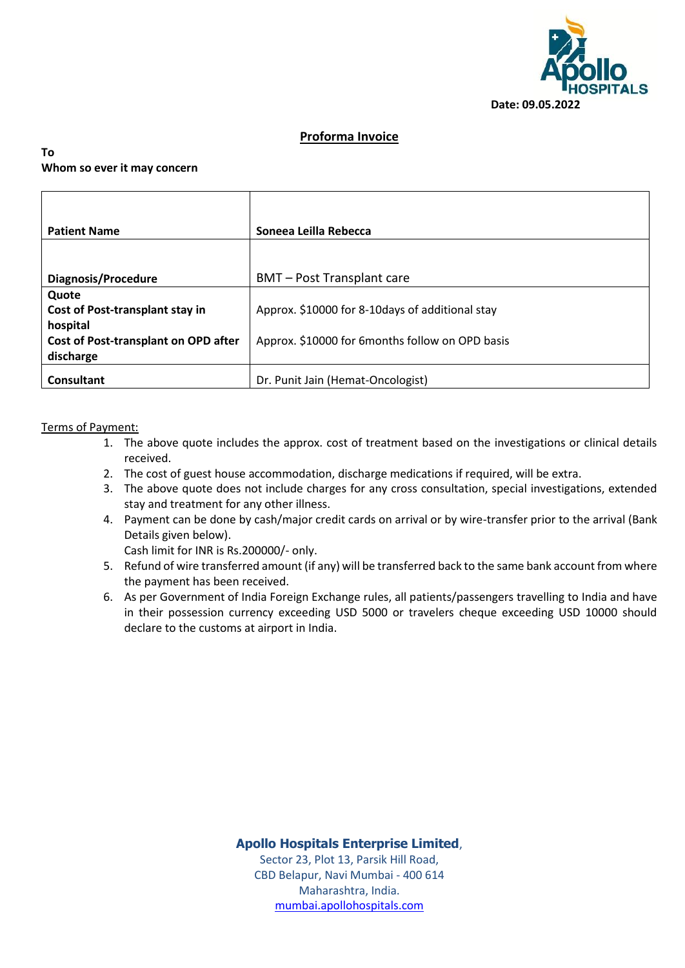

# **Proforma Invoice**

## **To Whom so ever it may concern**

| <b>Patient Name</b>                         | Soneea Leilla Rebecca                            |  |  |
|---------------------------------------------|--------------------------------------------------|--|--|
|                                             |                                                  |  |  |
| Diagnosis/Procedure                         | <b>BMT</b> – Post Transplant care                |  |  |
| Quote                                       |                                                  |  |  |
| Cost of Post-transplant stay in             | Approx. \$10000 for 8-10 days of additional stay |  |  |
| hospital                                    |                                                  |  |  |
| <b>Cost of Post-transplant on OPD after</b> | Approx. \$10000 for 6months follow on OPD basis  |  |  |
| discharge                                   |                                                  |  |  |
| Consultant                                  | Dr. Punit Jain (Hemat-Oncologist)                |  |  |

## Terms of Payment:

- 1. The above quote includes the approx. cost of treatment based on the investigations or clinical details received.
- 2. The cost of guest house accommodation, discharge medications if required, will be extra.
- 3. The above quote does not include charges for any cross consultation, special investigations, extended stay and treatment for any other illness.
- 4. Payment can be done by cash/major credit cards on arrival or by wire-transfer prior to the arrival (Bank Details given below).

Cash limit for INR is Rs.200000/- only.

- 5. Refund of wire transferred amount (if any) will be transferred back to the same bank account from where the payment has been received.
- 6. As per Government of India Foreign Exchange rules, all patients/passengers travelling to India and have in their possession currency exceeding USD 5000 or travelers cheque exceeding USD 10000 should declare to the customs at airport in India.

**Apollo Hospitals Enterprise Limited**,

Sector 23, Plot 13, Parsik Hill Road, CBD Belapur, Navi Mumbai - 400 614 Maharashtra, India. [mumbai.apollohospitals.com](http://www.mumbai.apollohospitals.com/)